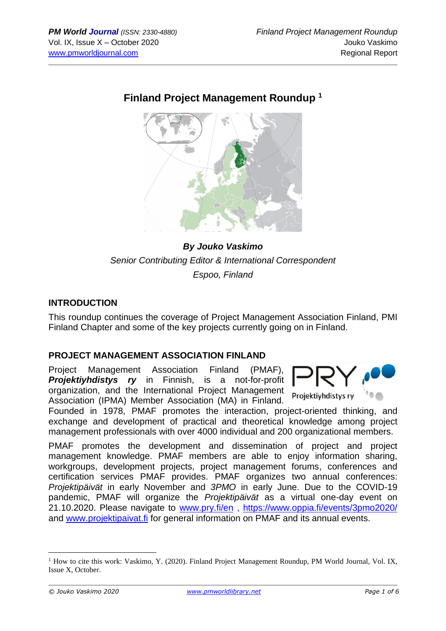# **Finland Project Management Roundup <sup>1</sup>**



# *By Jouko Vaskimo Senior Contributing Editor & International Correspondent Espoo, Finland*

#### **INTRODUCTION**

This roundup continues the coverage of Project Management Association Finland, PMI Finland Chapter and some of the key projects currently going on in Finland.

#### **PROJECT MANAGEMENT ASSOCIATION FINLAND**

Project Management Association Finland (PMAF), *Projektiyhdistys ry* in Finnish, is a not-for-profit organization, and the International Project Management Association (IPMA) Member Association (MA) in Finland.



Founded in 1978, PMAF promotes the interaction, project-oriented thinking, and exchange and development of practical and theoretical knowledge among project management professionals with over 4000 individual and 200 organizational members.

PMAF promotes the development and dissemination of project and project management knowledge. PMAF members are able to enjoy information sharing, workgroups, development projects, project management forums, conferences and certification services PMAF provides. PMAF organizes two annual conferences: *Projektipäivät* in early November and *3PMO* in early June. Due to the COVID-19 pandemic, PMAF will organize the *Projektipäivät* as a virtual one-day event on 21.10.2020. Please navigate to [www.pry.fi/en](http://www.pry.fi/en) , <https://www.oppia.fi/events/3pmo2020/> and [www.projektipaivat.fi](http://www.projektipaivat.fi/) for general information on PMAF and its annual events.

<sup>&</sup>lt;sup>1</sup> How to cite this work: Vaskimo, Y. (2020). Finland Project Management Roundup, PM World Journal, Vol. IX, Issue X, October.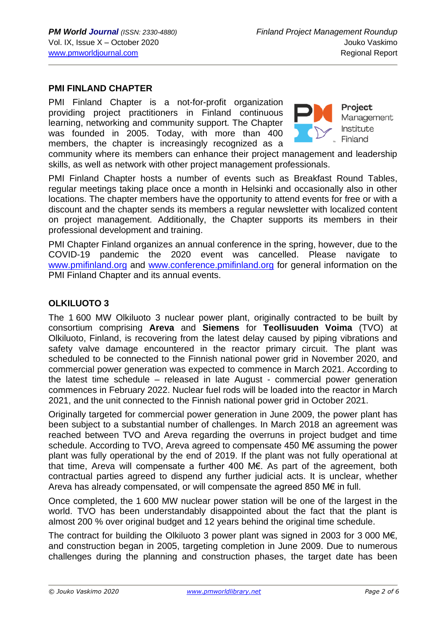#### **PMI FINLAND CHAPTER**

PMI Finland Chapter is a not-for-profit organization providing project practitioners in Finland continuous learning, networking and community support. The Chapter was founded in 2005. Today, with more than 400 members, the chapter is increasingly recognized as a



Project Management Institute Finland

community where its members can enhance their project management and leadership skills, as well as network with other project management professionals.

PMI Finland Chapter hosts a number of events such as Breakfast Round Tables, regular meetings taking place once a month in Helsinki and occasionally also in other locations. The chapter members have the opportunity to attend events for free or with a discount and the chapter sends its members a regular newsletter with localized content on project management. Additionally, the Chapter supports its members in their professional development and training.

PMI Chapter Finland organizes an annual conference in the spring, however, due to the COVID-19 pandemic the 2020 event was cancelled. Please navigate to [www.pmifinland.org](http://www.pmifinland.org/) and [www.conference.pmifinland.org](http://www.conference.pmifinland.org/) for general information on the PMI Finland Chapter and its annual events.

#### **OLKILUOTO 3**

The 1 600 MW Olkiluoto 3 nuclear power plant, originally contracted to be built by consortium comprising **Areva** and **Siemens** for **Teollisuuden Voima** (TVO) at Olkiluoto, Finland, is recovering from the latest delay caused by piping vibrations and safety valve damage encountered in the reactor primary circuit. The plant was scheduled to be connected to the Finnish national power grid in November 2020, and commercial power generation was expected to commence in March 2021. According to the latest time schedule – released in late August - commercial power generation commences in February 2022. Nuclear fuel rods will be loaded into the reactor in March 2021, and the unit connected to the Finnish national power grid in October 2021.

Originally targeted for commercial power generation in June 2009, the power plant has been subject to a substantial number of challenges. In March 2018 an agreement was reached between TVO and Areva regarding the overruns in project budget and time schedule. According to TVO, Areva agreed to compensate 450 M€ assuming the power plant was fully operational by the end of 2019. If the plant was not fully operational at that time, Areva will compensate a further 400 M€. As part of the agreement, both contractual parties agreed to dispend any further judicial acts. It is unclear, whether Areva has already compensated, or will compensate the agreed 850 M€ in full.

Once completed, the 1 600 MW nuclear power station will be one of the largest in the world. TVO has been understandably disappointed about the fact that the plant is almost 200 % over original budget and 12 years behind the original time schedule.

The contract for building the Olkiluoto 3 power plant was signed in 2003 for 3 000 M€, and construction began in 2005, targeting completion in June 2009. Due to numerous challenges during the planning and construction phases, the target date has been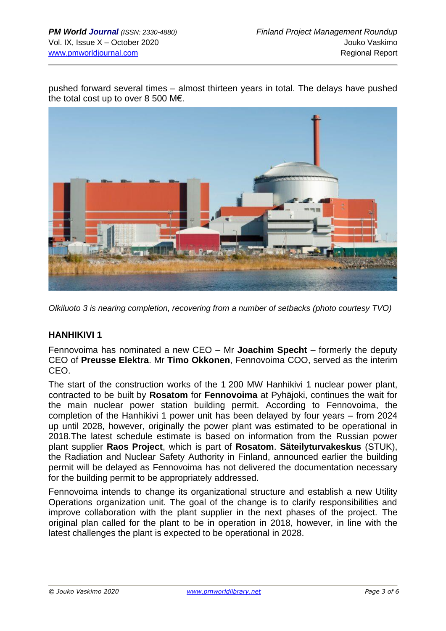pushed forward several times – almost thirteen years in total. The delays have pushed the total cost up to over 8 500 M€.



*Olkiluoto 3 is nearing completion, recovering from a number of setbacks (photo courtesy TVO)*

### **HANHIKIVI 1**

Fennovoima has nominated a new CEO – Mr **Joachim Specht** – formerly the deputy CEO of **Preusse Elektra**. Mr **Timo Okkonen**, Fennovoima COO, served as the interim CEO.

The start of the construction works of the 1 200 MW Hanhikivi 1 nuclear power plant, contracted to be built by **Rosatom** for **Fennovoima** at Pyhäjoki, continues the wait for the main nuclear power station building permit. According to Fennovoima, the completion of the Hanhikivi 1 power unit has been delayed by four years – from 2024 up until 2028, however, originally the power plant was estimated to be operational in 2018.The latest schedule estimate is based on information from the Russian power plant supplier **Raos Project**, which is part of **Rosatom**. **Säteilyturvakeskus** (STUK), the Radiation and Nuclear Safety Authority in Finland, announced earlier the building permit will be delayed as Fennovoima has not delivered the documentation necessary for the building permit to be appropriately addressed.

Fennovoima intends to change its organizational structure and establish a new Utility Operations organization unit. The goal of the change is to clarify responsibilities and improve collaboration with the plant supplier in the next phases of the project. The original plan called for the plant to be in operation in 2018, however, in line with the latest challenges the plant is expected to be operational in 2028.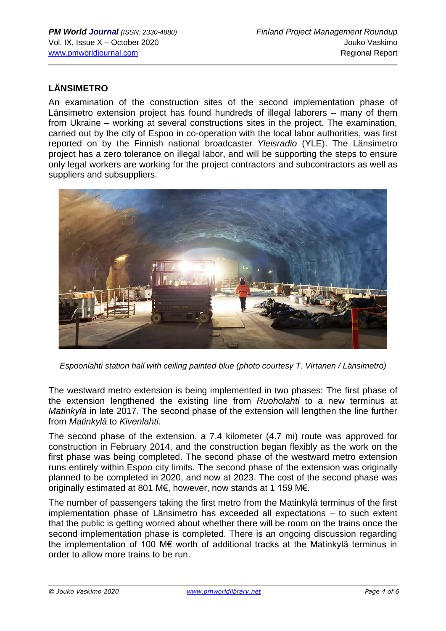# **LÄNSIMETRO**

An examination of the construction sites of the second implementation phase of Länsimetro extension project has found hundreds of illegal laborers – many of them from Ukraine – working at several constructions sites in the project. The examination, carried out by the city of Espoo in co-operation with the local labor authorities, was first reported on by the Finnish national broadcaster *Yleisradio* (YLE). The Länsimetro project has a zero tolerance on illegal labor, and will be supporting the steps to ensure only legal workers are working for the project contractors and subcontractors as well as suppliers and subsuppliers.



*Espoonlahti station hall with ceiling painted blue (photo courtesy T. Virtanen / Länsimetro)*

The westward metro extension is being implemented in two phases: The first phase of the extension lengthened the existing line from *[Ruoholahti](https://en.wikipedia.org/wiki/Ruoholahti_metro_station)* to a new terminus at *[Matinkylä](https://en.wikipedia.org/wiki/Matinkyl%C3%A4)* in late 2017. The second phase of the extension will lengthen the line further from *Matinkylä* to *Kivenlahti*.

The second phase of the extension, a 7.4 kilometer (4.7 mi) route was approved for construction in February 2014, and the construction began flexibly as the work on the first phase was being completed. The second phase of the westward metro extension runs entirely within Espoo city limits. The second phase of the extension was originally planned to be completed in 2020, and now at 2023. The cost of the second phase was originally estimated at 801 M€, however, now stands at 1 159 M€.

The number of passengers taking the first metro from the Matinkylä terminus of the first implementation phase of Länsimetro has exceeded all expectations – to such extent that the public is getting worried about whether there will be room on the trains once the second implementation phase is completed. There is an ongoing discussion regarding the implementation of 100 M€ worth of additional tracks at the Matinkylä terminus in order to allow more trains to be run.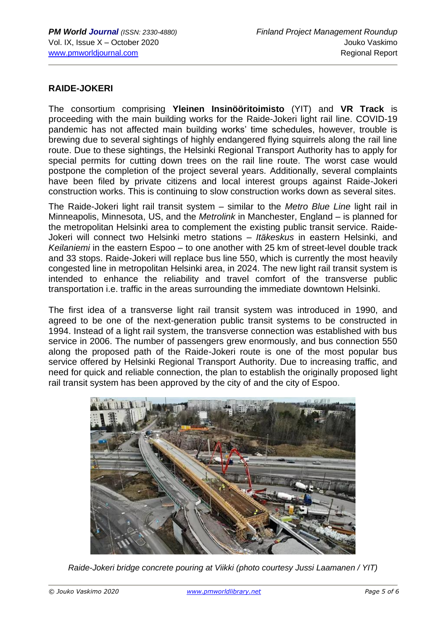### **RAIDE-JOKERI**

The consortium comprising **Yleinen Insinööritoimisto** (YIT) and **VR Track** is proceeding with the main building works for the Raide-Jokeri light rail line. COVID-19 pandemic has not affected main building works' time schedules, however, trouble is brewing due to several sightings of highly endangered flying squirrels along the rail line route. Due to these sightings, the Helsinki Regional Transport Authority has to apply for special permits for cutting down trees on the rail line route. The worst case would postpone the completion of the project several years. Additionally, several complaints have been filed by private citizens and local interest groups against Raide-Jokeri construction works. This is continuing to slow construction works down as several sites.

The Raide-Jokeri light rail transit system – similar to the *Metro Blue Line* light rail in Minneapolis, Minnesota, US, and the *Metrolink* in Manchester, England – is planned for the metropolitan Helsinki area to complement the existing public transit service. Raide-Jokeri will connect two Helsinki metro stations – *Itäkeskus* in eastern Helsinki, and *Keilaniemi* in the eastern Espoo – to one another with 25 km of street-level double track and 33 stops. Raide-Jokeri will replace bus line 550, which is currently the most heavily congested line in metropolitan Helsinki area, in 2024. The new light rail transit system is intended to enhance the reliability and travel comfort of the transverse public transportation i.e. traffic in the areas surrounding the immediate downtown Helsinki.

The first idea of a transverse light rail transit system was introduced in 1990, and agreed to be one of the next-generation public transit systems to be constructed in 1994. Instead of a light rail system, the transverse connection was established with bus service in 2006. The number of passengers grew enormously, and bus connection 550 along the proposed path of the Raide-Jokeri route is one of the most popular bus service offered by Helsinki Regional Transport Authority. Due to increasing traffic, and need for quick and reliable connection, the plan to establish the originally proposed light rail transit system has been approved by the city of and the city of Espoo.



*Raide-Jokeri bridge concrete pouring at Viikki (photo courtesy Jussi Laamanen / YIT)*